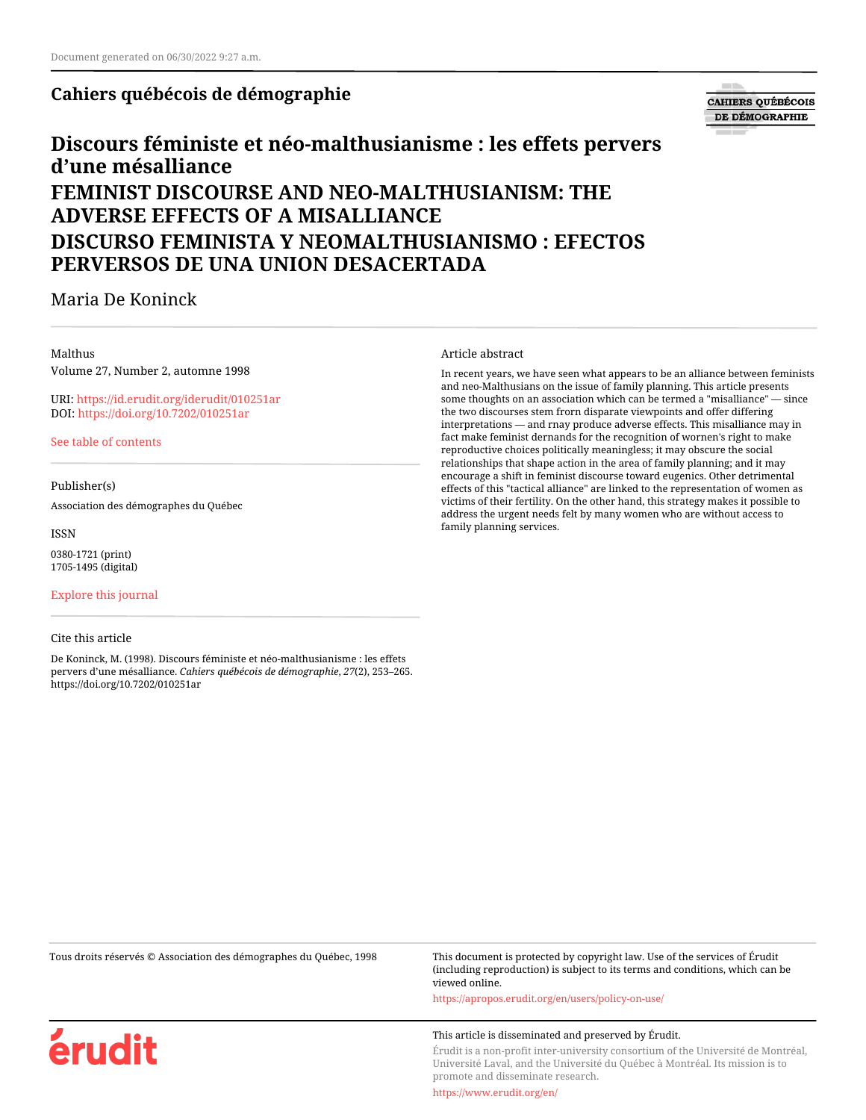## **Cahiers québécois de démographie**

# **CAHIERS QUÉBÉCOIS** DE DÉMOGRAPHIE

# **Discours féministe et néo-malthusianisme : les effets pervers d'une mésalliance FEMINIST DISCOURSE AND NEO-MALTHUSIANISM: THE ADVERSE EFFECTS OF A MISALLIANCE**

# **DISCURSO FEMINISTA Y NEOMALTHUSIANISMO : EFECTOS PERVERSOS DE UNA UNION DESACERTADA**

# Maria De Koninck

#### Malthus

Volume 27, Number 2, automne 1998

URI:<https://id.erudit.org/iderudit/010251ar> DOI:<https://doi.org/10.7202/010251ar>

[See table of contents](https://www.erudit.org/en/journals/cqd/1998-v27-n2-cqd585/)

#### Publisher(s)

Association des démographes du Québec

ISSN 0380-1721 (print) 1705-1495 (digital)

[Explore this journal](https://www.erudit.org/en/journals/cqd/)

#### Cite this article

érudit

De Koninck, M. (1998). Discours féministe et néo-malthusianisme : les effets pervers d'une mésalliance. *Cahiers québécois de démographie*, *27*(2), 253–265. https://doi.org/10.7202/010251ar

Article abstract

In recent years, we have seen what appears to be an alliance between feminists and neo-Malthusians on the issue of family planning. This article presents some thoughts on an association which can be termed a "misalliance" — since the two discourses stem frorn disparate viewpoints and offer differing interpretations — and rnay produce adverse effects. This misalliance may in fact make feminist dernands for the recognition of wornen's right to make reproductive choices politically meaningless; it may obscure the social relationships that shape action in the area of family planning; and it may encourage a shift in feminist discourse toward eugenics. Other detrimental effects of this "tactical alliance" are linked to the representation of women as victims of their fertility. On the other hand, this strategy makes it possible to address the urgent needs felt by many women who are without access to family planning services.

Tous droits réservés © Association des démographes du Québec, 1998 This document is protected by copyright law. Use of the services of Érudit (including reproduction) is subject to its terms and conditions, which can be viewed online.

<https://apropos.erudit.org/en/users/policy-on-use/>

#### This article is disseminated and preserved by Érudit.

Érudit is a non-profit inter-university consortium of the Université de Montréal, Université Laval, and the Université du Québec à Montréal. Its mission is to promote and disseminate research.

<https://www.erudit.org/en/>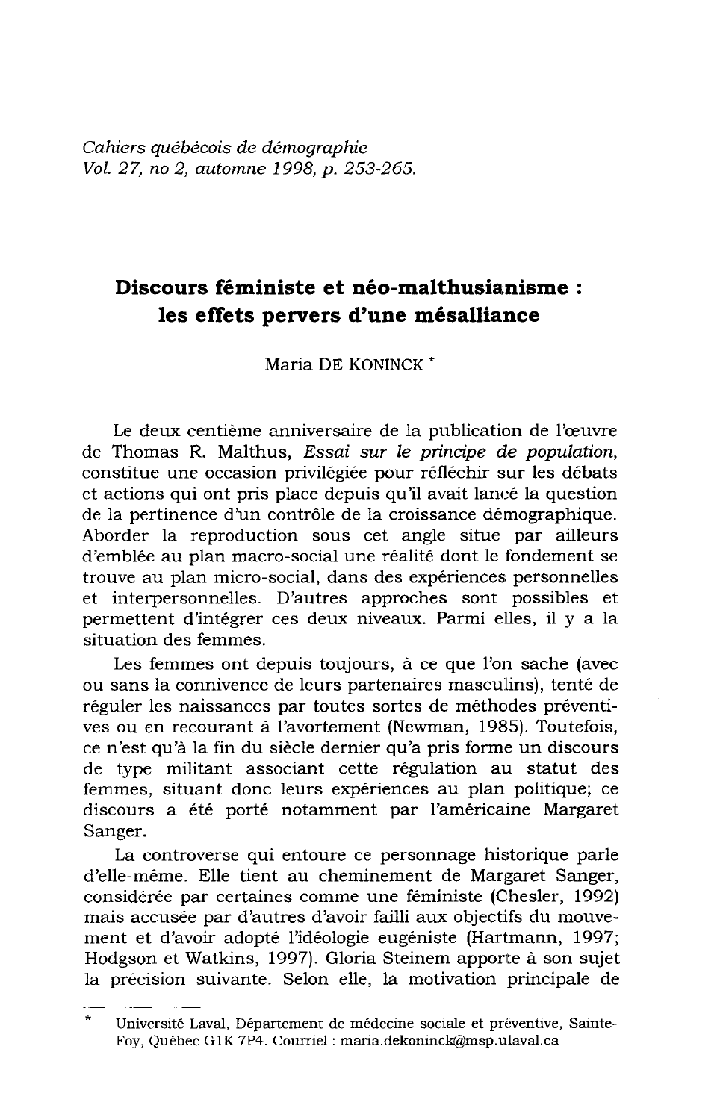Cahiers québécois de démographie Vol. 27, no 2, automne 1998, p. 253-265.

# Discours féministe et néo-malthusianisme : les effets pervers d'une mésalliance

Maria DE KONINCK<sup>\*</sup>

Le deux centième anniversaire de la publication de l'œuvre de Thomas R. Malthus, Essai sur le principe de population, constitue une occasion privilégiée pour réfléchir sur les débats et actions qui ont pris place depuis qu'il avait lancé la question de la pertinence d'un contrôle de la croissance démographique. Aborder la reproduction sous cet angle situe par ailleurs d'emblée au plan macro-social une réalité dont le fondement se trouve au plan micro-social, dans des expériences personnelles et interpersonnelles. D'autres approches sont possibles et permettent d'intégrer ces deux niveaux. Parmi elles, il y a la situation des femmes.

Les femmes ont depuis toujours, à ce que l'on sache (avec ou sans la connivence de leurs partenaires masculins), tenté de réguler les naissances par toutes sortes de méthodes préventives ou en recourant à l'avortement (Newman, 1985). Toutefois, ce n'est qu'à la fin du siècle dernier qu'a pris forme un discours de type militant associant cette régulation au statut des femmes, situant donc leurs expériences au plan politique; ce discours a été porté notamment par l'américaine Margaret Sanger.

La controverse qui entoure ce personnage historique parle d'elle-même. Elle tient au cheminement de Margaret Sanger, considérée par certaines comme une féministe (Chesler, 1992) mais accusée par d'autres d'avoir failli aux objectifs du mouvement et d'avoir adopté l'idéologie eugéniste (Hartmann, 1997; Hodgson et Watkins, 1997). Gloria Steinem apporte à son sujet la précision suivante. Selon elle, la motivation principale de

Université Laval, Département de médecine sociale et préventive, Sainte-Foy, Québec G1K 7P4. Courriel : maria.dekoninck@msp.ulaval.ca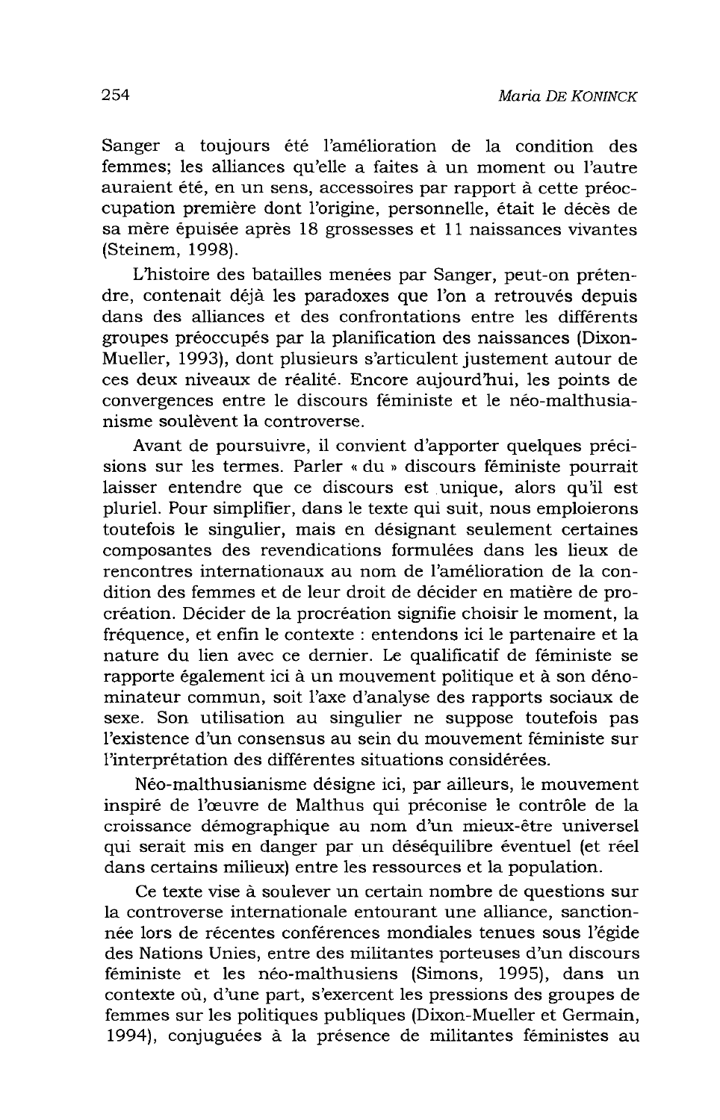Sanger a toujours été l'amélioration de la condition des femmes; les alliances qu'elle a faites à un moment ou l'autre auraient été, en un sens, accessoires par rapport à cette préoccupation première dont l'origine, personnelle, était le décès de sa mère épuisée après 18 grossesses et 11 naissances vivantes (Steinem, 1998).

L'histoire des batailles menées par Sanger, peut-on prétendre, contenait déjà les paradoxes que l'on a retrouvés depuis dans des alliances et des confrontations entre les différents groupes préoccupés par la planification des naissances (Dixon-Mueller, 1993), dont plusieurs s'articulent justement autour de ces deux niveaux de réalité. Encore aujourd'hui, les points de convergences entre le discours féministe et le néo-malthusianisme soulèvent la controverse.

Avant de poursuivre, il convient d'apporter quelques précisions sur les termes. Parler « du » discours féministe pourrait laisser entendre que ce discours est unique, alors qu'il est pluriel. Pour simplifier, dans le texte qui suit, nous emploierons toutefois le singulier, mais en désignant seulement certaines composantes des revendications formulées dans les lieux de rencontres internationaux au nom de l'amélioration de la condition des femmes et de leur droit de décider en matière de procréation. Décider de la procréation signifie choisir le moment, la fréquence, et enfin le contexte : entendons ici le partenaire et la nature du lien avec ce dernier. Le qualificatif de féministe se rapporte également ici à un mouvement politique et à son dénominateur commun, soit l'axe d'analyse des rapports sociaux de sexe. Son utilisation au singulier ne suppose toutefois pas l'existence d'un consensus au sein du mouvement féministe sur l'interprétation des différentes situations considérées.

Néo-malthusianisme désigne ici, par ailleurs, le mouvement inspiré de l'œuvre de Malthus qui préconise le contrôle de la croissance démographique au nom d'un mieux-être universel qui serait mis en danger par un déséquilibre éventuel (et réel dans certains milieux) entre les ressources et la population.

Ce texte vise à soulever un certain nombre de questions sur la controverse internationale entourant une alliance, sanctionnée lors de récentes conférences mondiales tenues sous l'égide des Nations Unies, entre des militantes porteuses d'un discours féministe et les néo-malthusiens (Simons, 1995), dans un contexte où, d'une part, s'exercent les pressions des groupes de femmes sur les politiques publiques (Dixon-Mueller et Germain, 1994), conjuguées à la présence de militantes féministes au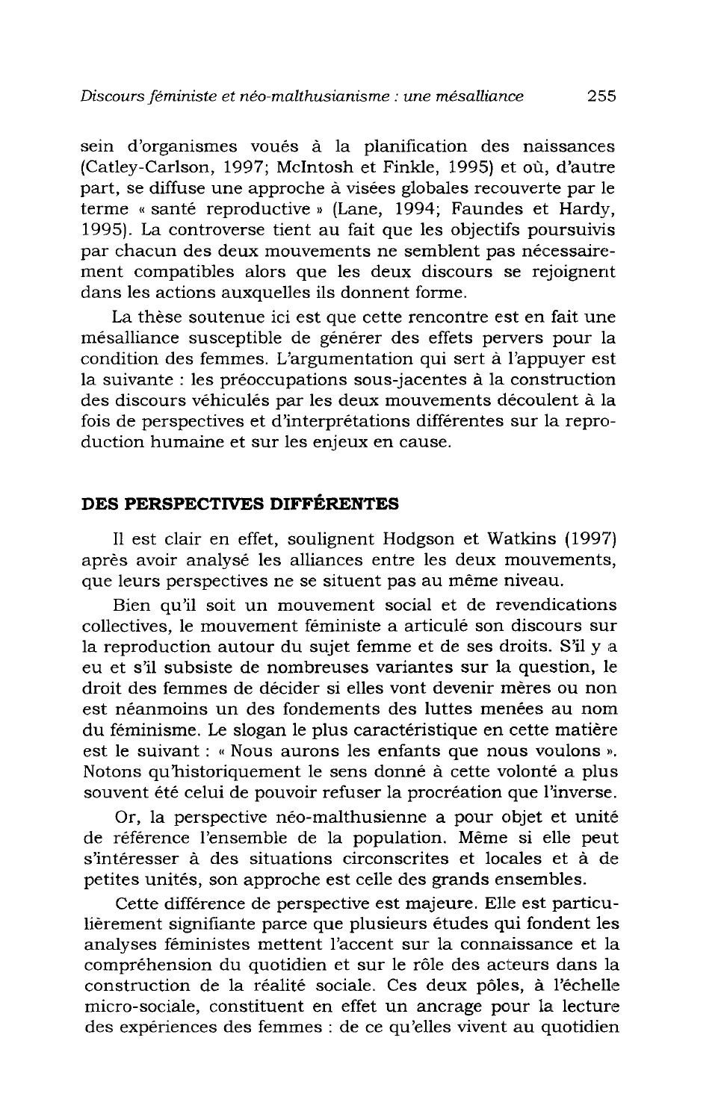sein d'organismes voués à la planification des naissances (Catley-Carlson, 1997; McIntosh et Finkle, 1995) et où, d'autre part, se diffuse une approche à visées globales recouverte par le terme « santé reproductive » (Lane, 1994; Faundes et Hardy, 1995). La controverse tient au fait que les objectifs poursuivis par chacun des deux mouvements ne semblent pas nécessairement compatibles alors que les deux discours se rejoignent dans les actions auxquelles ils donnent forme.

La thèse soutenue ici est que cette rencontre est en fait une mésalliance susceptible de générer des effets pervers pour la condition des femmes. L'argumentation qui sert à l'appuyer est la suivante : les préoccupations sous-jacentes à la construction des discours véhiculés par les deux mouvements découlent à la fois de perspectives et d'interprétations différentes sur la reproduction humaine et sur les enjeux en cause.

## DES PERSPECTIVES DIFFÉRENTES

Il est clair en effet, soulignent Hodgson et Watkins (1997) après avoir analysé les alliances entre les deux mouvements, que leurs perspectives ne se situent pas au même niveau.

Bien qu'il soit un mouvement social et de revendications collectives, le mouvement féministe a articulé son discours sur la reproduction autour du sujet femme et de ses droits. S'il y a eu et s'il subsiste de nombreuses variantes sur la question, le droit des femmes de décider si elles vont devenir mères ou non est néanmoins un des fondements des luttes menées au nom du féminisme. Le slogan le plus caractéristique en cette matière est le suivant : « Nous aurons les enfants que nous voulons ». Notons qu'historiquement le sens donné à cette volonté a plus souvent été celui de pouvoir refuser la procréation que l'inverse.

Or, la perspective néo-malthusienne a pour objet et unité de référence l'ensemble de la population. Même si elle peut s'intéresser à des situations circonscrites et locales et à de petites unités, son approche est celle des grands ensembles.

Cette différence de perspective est majeure. Elle est particulièrement signifiante parce que plusieurs études qui fondent les analyses féministes mettent l'accent sur la connaissance et la compréhension du quotidien et sur le rôle des acteurs dans la construction de la réalité sociale. Ces deux pôles, à l'échelle micro-sociale, constituent en effet un ancrage pour la lecture des expériences des femmes : de ce qu'elles vivent au quotidien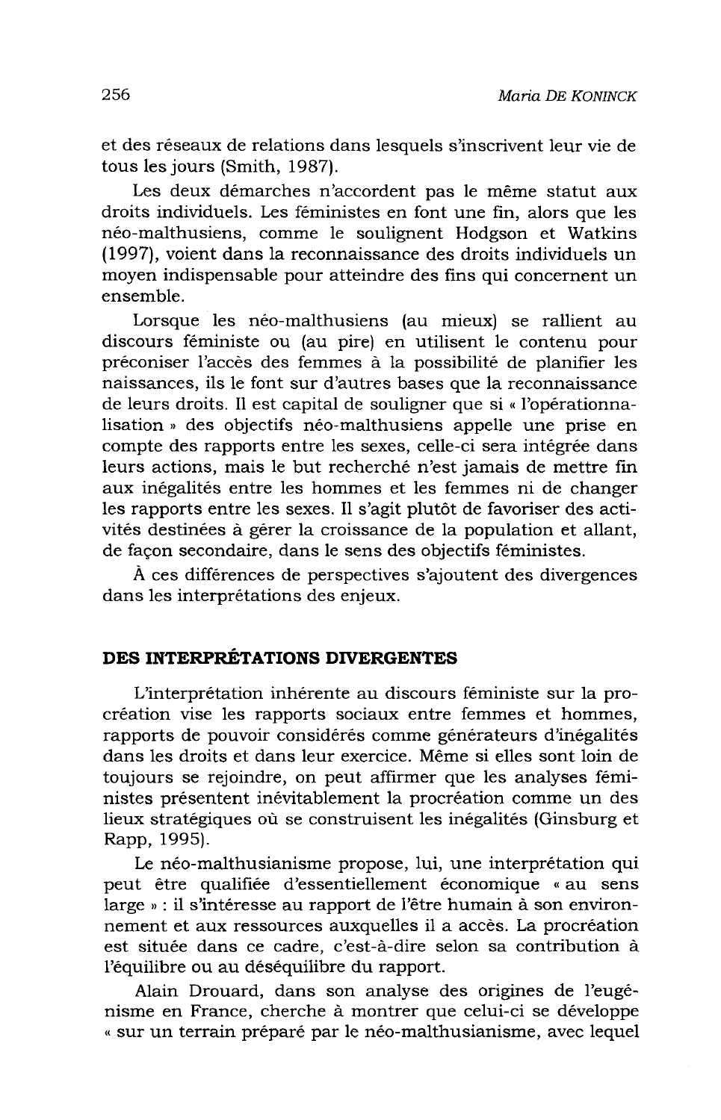et des réseaux de relations dans lesquels s'inscrivent leur vie de tous les jours (Smith, 1987).

Les deux démarches n'accordent pas le même statut aux droits individuels. Les féministes en font une fin, alors que les néo-malthusiens, comme le soulignent Hodgson et Watkins (1997), voient dans la reconnaissance des droits individuels un moven indispensable pour atteindre des fins qui concernent un ensemble

Lorsque les néo-malthusiens (au mieux) se rallient au discours féministe ou (au pire) en utilisent le contenu pour préconiser l'accès des femmes à la possibilité de planifier les naissances, ils le font sur d'autres bases que la reconnaissance de leurs droits. Il est capital de souligner que si « l'opérationnalisation » des objectifs néo-malthusiens appelle une prise en compte des rapports entre les sexes, celle-ci sera intégrée dans leurs actions, mais le but recherché n'est jamais de mettre fin aux inégalités entre les hommes et les femmes ni de changer les rapports entre les sexes. Il s'agit plutôt de favoriser des activités destinées à gérer la croissance de la population et allant, de facon secondaire, dans le sens des objectifs féministes.

À ces différences de perspectives s'ajoutent des divergences dans les interprétations des enjeux.

### DES INTERPRÉTATIONS DIVERGENTES

L'interprétation inhérente au discours féministe sur la procréation vise les rapports sociaux entre femmes et hommes, rapports de pouvoir considérés comme générateurs d'inégalités dans les droits et dans leur exercice. Même si elles sont loin de toujours se rejoindre, on peut affirmer que les analyses féministes présentent inévitablement la procréation comme un des lieux stratégiques où se construisent les inégalités (Ginsburg et Rapp, 1995).

Le néo-malthusianisme propose, lui, une interprétation qui peut être qualifiée d'essentiellement économique « au sens large » : il s'intéresse au rapport de l'être humain à son environnement et aux ressources auxquelles il a accès. La procréation est située dans ce cadre, c'est-à-dire selon sa contribution à l'équilibre ou au déséquilibre du rapport.

Alain Drouard, dans son analyse des origines de l'eugénisme en France, cherche à montrer que celui-ci se développe « sur un terrain préparé par le néo-malthusianisme, avec lequel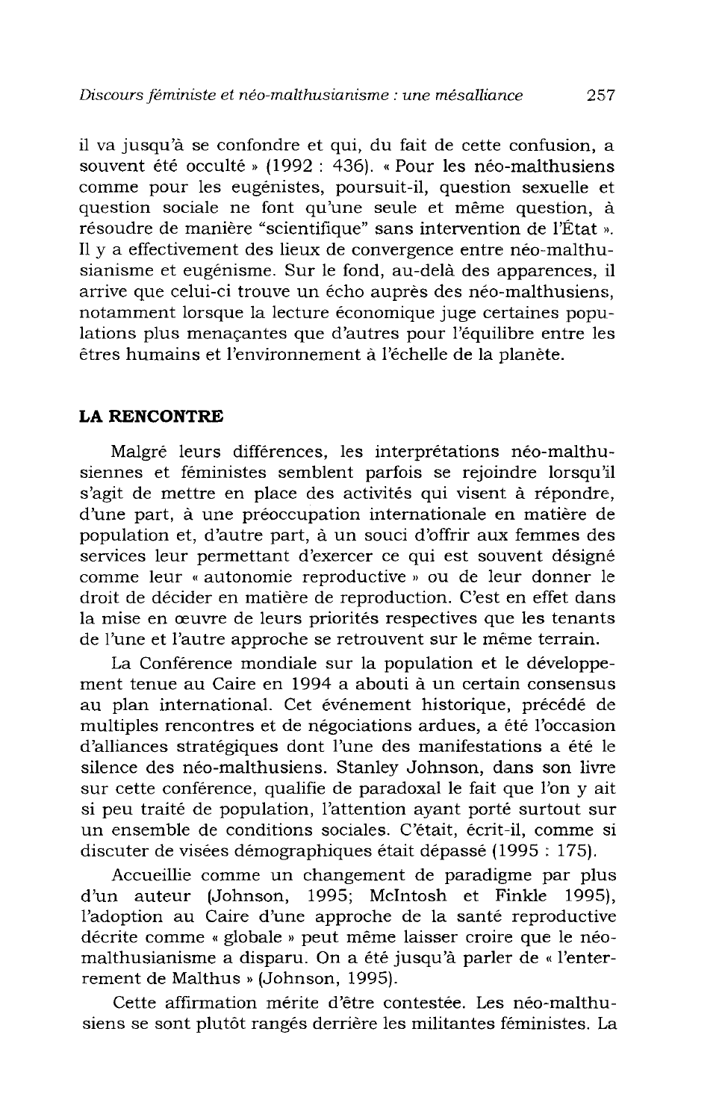il va jusqu'à se confondre et qui, du fait de cette confusion, a souvent été occulté » (1992 : 436). « Pour les néo-malthusiens comme pour les eugénistes, poursuit-il, question sexuelle et question sociale ne font qu'une seule et même question, à résoudre de manière "scientifique" sans intervention de l'État ». Il y a effectivement des lieux de convergence entre néo-malthusianisme et eugénisme. Sur le fond, au-delà des apparences, il arrive que celui-ci trouve un écho auprès des néo-malthusiens. notamment lorsque la lecture économique juge certaines populations plus menaçantes que d'autres pour l'équilibre entre les êtres humains et l'environnement à l'échelle de la planète.

### **LA RENCONTRE**

Malgré leurs différences, les interprétations néo-malthusiennes et féministes semblent parfois se rejoindre lorsqu'il s'agit de mettre en place des activités qui visent à répondre. d'une part, à une préoccupation internationale en matière de population et, d'autre part, à un souci d'offrir aux femmes des services leur permettant d'exercer ce qui est souvent désigné comme leur « autonomie reproductive » ou de leur donner le droit de décider en matière de reproduction. C'est en effet dans la mise en œuvre de leurs priorités respectives que les tenants de l'une et l'autre approche se retrouvent sur le même terrain.

La Conférence mondiale sur la population et le développement tenue au Caire en 1994 a abouti à un certain consensus au plan international. Cet événement historique, précédé de multiples rencontres et de négociations ardues, a été l'occasion d'alliances stratégiques dont l'une des manifestations a été le silence des néo-malthusiens. Stanley Johnson, dans son livre sur cette conférence, qualifie de paradoxal le fait que l'on y ait si peu traité de population, l'attention ayant porté surtout sur un ensemble de conditions sociales. C'était, écrit-il, comme si discuter de visées démographiques était dépassé (1995 : 175).

Accueillie comme un changement de paradigme par plus d'un auteur (Johnson, 1995; McIntosh et Finkle 1995), l'adoption au Caire d'une approche de la santé reproductive décrite comme « globale » peut même laisser croire que le néomalthusianisme a disparu. On a été jusqu'à parler de « l'enterrement de Malthus » (Johnson, 1995).

Cette affirmation mérite d'être contestée. Les néo-malthusiens se sont plutôt rangés derrière les militantes féministes. La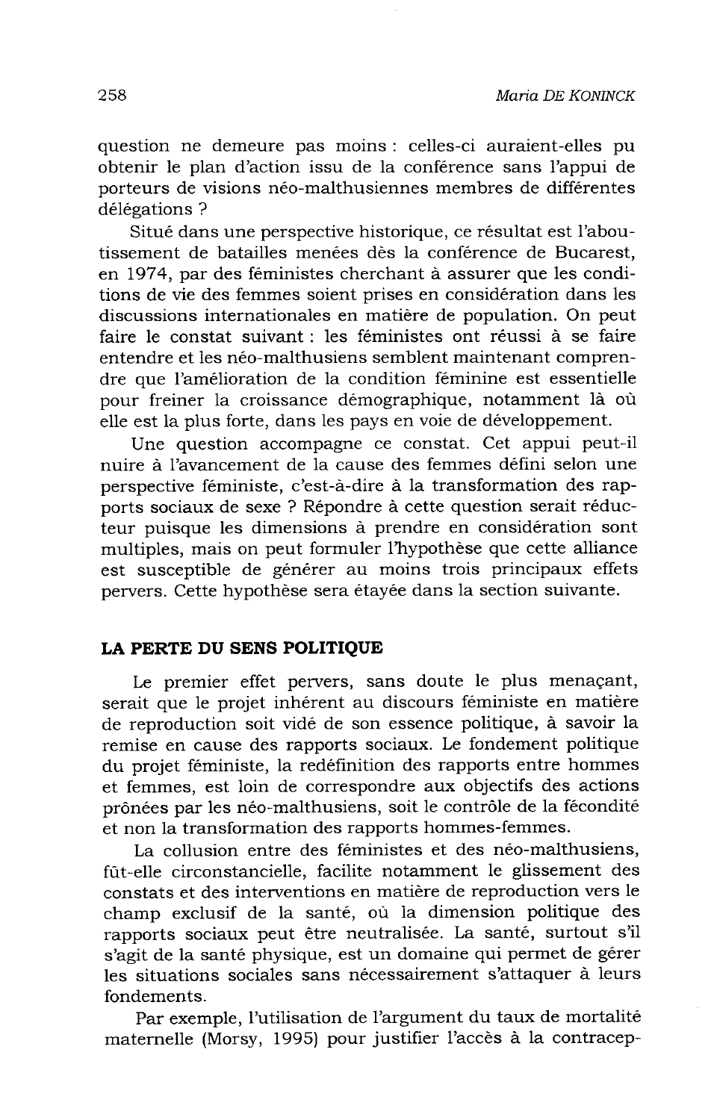question ne demeure pas moins : celles-ci auraient-elles pu obtenir le plan d'action issu de la conférence sans l'appui de porteurs de visions néo-malthusiennes membres de différentes délégations?

Situé dans une perspective historique, ce résultat est l'aboutissement de batailles menées dès la conférence de Bucarest, en 1974, par des féministes cherchant à assurer que les conditions de vie des femmes soient prises en considération dans les discussions internationales en matière de population. On peut faire le constat suivant : les féministes ont réussi à se faire entendre et les néo-malthusiens semblent maintenant comprendre que l'amélioration de la condition féminine est essentielle pour freiner la croissance démographique, notamment là où elle est la plus forte, dans les pays en voie de développement.

Une question accompagne ce constat. Cet appui peut-il nuire à l'avancement de la cause des femmes défini selon une perspective féministe, c'est-à-dire à la transformation des rapports sociaux de sexe ? Répondre à cette question serait réducteur puisque les dimensions à prendre en considération sont multiples, mais on peut formuler l'hypothèse que cette alliance est susceptible de générer au moins trois principaux effets pervers. Cette hypothèse sera étayée dans la section suivante.

### LA PERTE DU SENS POLITIQUE

Le premier effet pervers, sans doute le plus menaçant, serait que le projet inhérent au discours féministe en matière de reproduction soit vidé de son essence politique, à savoir la remise en cause des rapports sociaux. Le fondement politique du projet féministe, la redéfinition des rapports entre hommes et femmes, est loin de correspondre aux objectifs des actions prônées par les néo-malthusiens, soit le contrôle de la fécondité et non la transformation des rapports hommes-femmes.

La collusion entre des féministes et des néo-malthusiens, fût-elle circonstancielle, facilite notamment le glissement des constats et des interventions en matière de reproduction vers le champ exclusif de la santé, où la dimension politique des rapports sociaux peut être neutralisée. La santé, surtout s'il s'agit de la santé physique, est un domaine qui permet de gérer les situations sociales sans nécessairement s'attaquer à leurs fondements.

Par exemple, l'utilisation de l'argument du taux de mortalité maternelle (Morsy, 1995) pour justifier l'accès à la contracep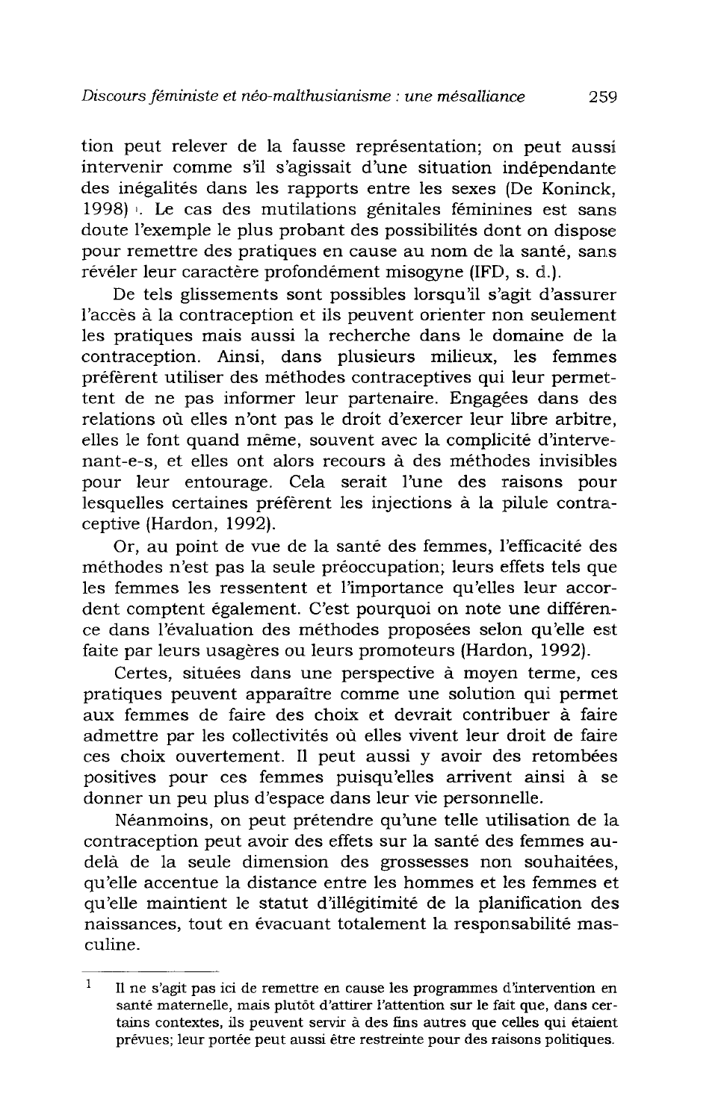tion peut relever de la fausse représentation; on peut aussi intervenir comme s'il s'agissait d'une situation indépendante des inégalités dans les rapports entre les sexes (De Koninck. 1998). Le cas des mutilations génitales féminines est sans doute l'exemple le plus probant des possibilités dont on dispose pour remettre des pratiques en cause au nom de la santé, sans révéler leur caractère profondément misogyne (IFD, s. d.).

De tels glissements sont possibles lorsqu'il s'agit d'assurer l'accès à la contraception et ils peuvent orienter non seulement les pratiques mais aussi la recherche dans le domaine de la contraception. Ainsi, dans plusieurs milieux, les femmes préfèrent utiliser des méthodes contraceptives qui leur permettent de ne pas informer leur partenaire. Engagées dans des relations où elles n'ont pas le droit d'exercer leur libre arbitre, elles le font quand même, souvent avec la complicité d'intervenant-e-s, et elles ont alors recours à des méthodes invisibles pour leur entourage. Cela serait l'une des raisons pour lesquelles certaines préfèrent les injections à la pilule contraceptive (Hardon, 1992).

Or, au point de vue de la santé des femmes, l'efficacité des méthodes n'est pas la seule préoccupation; leurs effets tels que les femmes les ressentent et l'importance qu'elles leur accordent comptent également. C'est pourquoi on note une différence dans l'évaluation des méthodes proposées selon qu'elle est faite par leurs usagères ou leurs promoteurs (Hardon, 1992).

Certes, situées dans une perspective à moyen terme, ces pratiques peuvent apparaître comme une solution qui permet aux femmes de faire des choix et devrait contribuer à faire admettre par les collectivités où elles vivent leur droit de faire ces choix ouvertement. Il peut aussi y avoir des retombées positives pour ces femmes puisqu'elles arrivent ainsi à se donner un peu plus d'espace dans leur vie personnelle.

Néanmoins, on peut prétendre qu'une telle utilisation de la contraception peut avoir des effets sur la santé des femmes audelà de la seule dimension des grossesses non souhaitées, qu'elle accentue la distance entre les hommes et les femmes et qu'elle maintient le statut d'illégitimité de la planification des naissances, tout en évacuant totalement la responsabilité masculine.

 $\mathbf 1$ Il ne s'agit pas ici de remettre en cause les programmes d'intervention en santé maternelle, mais plutôt d'attirer l'attention sur le fait que, dans certains contextes, ils peuvent servir à des fins autres que celles qui étaient prévues; leur portée peut aussi être restreinte pour des raisons politiques.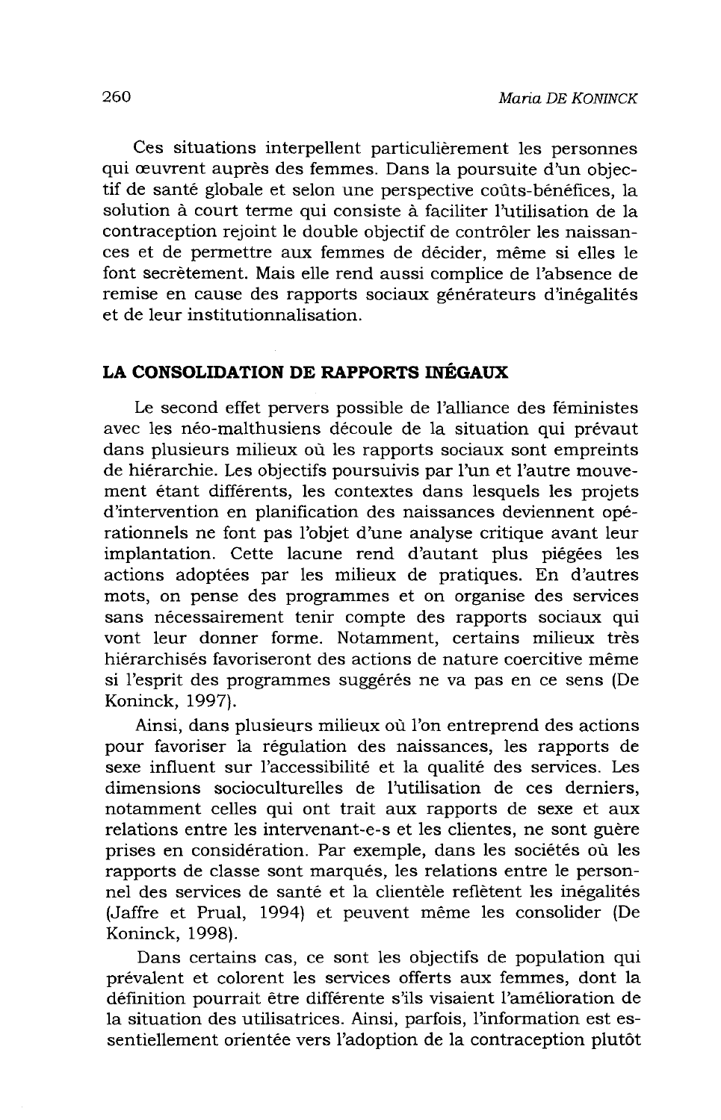Ces situations interpellent particulièrement les personnes qui œuvrent auprès des femmes. Dans la poursuite d'un objectif de santé globale et selon une perspective coûts-bénéfices, la solution à court terme qui consiste à faciliter l'utilisation de la contraception rejoint le double objectif de contrôler les naissances et de permettre aux femmes de décider, même si elles le font secrètement. Mais elle rend aussi complice de l'absence de remise en cause des rapports sociaux générateurs d'inégalités et de leur institutionnalisation.

### LA CONSOLIDATION DE RAPPORTS INÉGAUX

Le second effet pervers possible de l'alliance des féministes avec les néo-malthusiens découle de la situation qui prévaut dans plusieurs milieux où les rapports sociaux sont empreints de hiérarchie. Les objectifs poursuivis par l'un et l'autre mouvement étant différents, les contextes dans lesquels les projets d'intervention en planification des naissances deviennent opérationnels ne font pas l'objet d'une analyse critique avant leur implantation. Cette lacune rend d'autant plus piégées les actions adoptées par les milieux de pratiques. En d'autres mots, on pense des programmes et on organise des services sans nécessairement tenir compte des rapports sociaux qui vont leur donner forme. Notamment, certains milieux très hiérarchisés favoriseront des actions de nature coercitive même si l'esprit des programmes suggérés ne va pas en ce sens (De Koninck, 1997).

Ainsi, dans plusieurs milieux où l'on entreprend des actions pour favoriser la régulation des naissances, les rapports de sexe influent sur l'accessibilité et la qualité des services. Les dimensions socioculturelles de l'utilisation de ces derniers. notamment celles qui ont trait aux rapports de sexe et aux relations entre les intervenant-e-s et les clientes, ne sont guère prises en considération. Par exemple, dans les sociétés où les rapports de classe sont marqués, les relations entre le personnel des services de santé et la clientèle reflètent les inégalités (Jaffre et Prual, 1994) et peuvent même les consolider (De Koninck, 1998).

Dans certains cas, ce sont les objectifs de population qui prévalent et colorent les services offerts aux femmes, dont la définition pourrait être différente s'ils visaient l'amélioration de la situation des utilisatrices. Ainsi, parfois, l'information est essentiellement orientée vers l'adoption de la contraception plutôt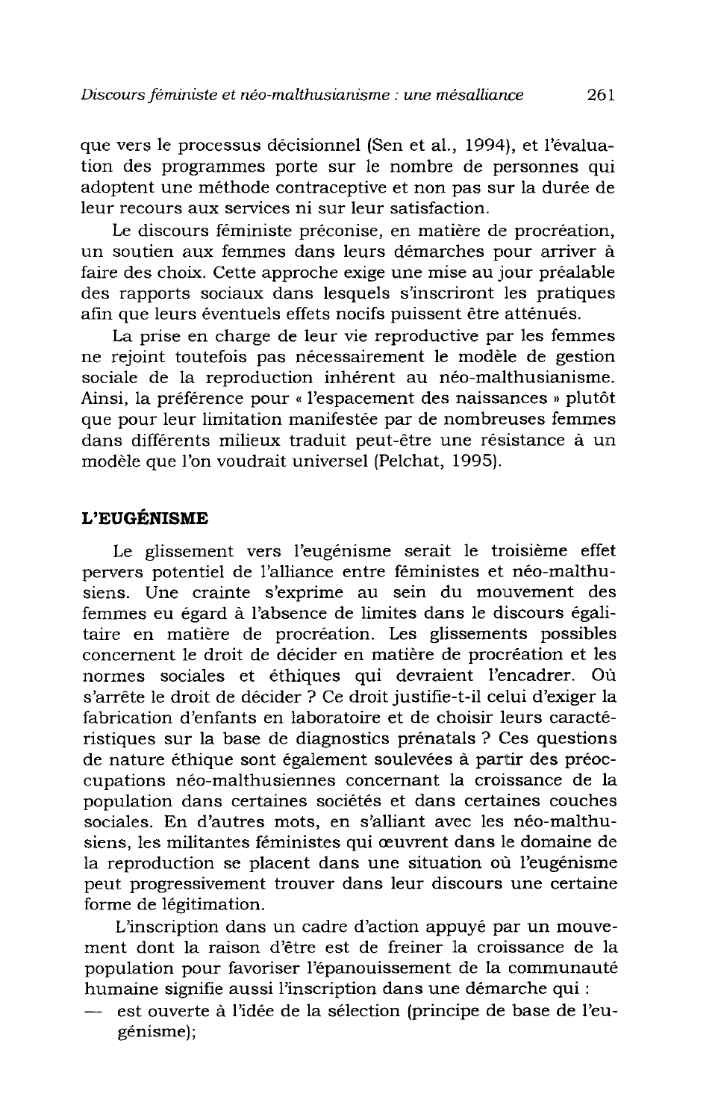que vers le processus décisionnel (Sen et al., 1994), et l'évaluation des programmes porte sur le nombre de personnes qui adoptent une méthode contraceptive et non pas sur la durée de leur recours aux services ni sur leur satisfaction.

Le discours féministe préconise, en matière de procréation, un soutien aux femmes dans leurs démarches pour arriver à faire des choix. Cette approche exige une mise au jour préalable des rapports sociaux dans lesquels s'inscriront les pratiques afin que leurs éventuels effets nocifs puissent être atténués.

La prise en charge de leur vie reproductive par les femmes ne rejoint toutefois pas nécessairement le modèle de gestion sociale de la reproduction inhérent au néo-malthusianisme. Ainsi, la préférence pour « l'espacement des naissances » plutôt que pour leur limitation manifestée par de nombreuses femmes dans différents milieux traduit peut-être une résistance à un modèle que l'on voudrait universel (Pelchat, 1995).

### L'EUGÉNISME

Le glissement vers l'eugénisme serait le troisième effet pervers potentiel de l'alliance entre féministes et néo-malthusiens. Une crainte s'exprime au sein du mouvement des femmes eu égard à l'absence de limites dans le discours égalitaire en matière de procréation. Les glissements possibles concernent le droit de décider en matière de procréation et les normes sociales et éthiques qui devraient l'encadrer. Où s'arrête le droit de décider ? Ce droit justifie-t-il celui d'exiger la fabrication d'enfants en laboratoire et de choisir leurs caractéristiques sur la base de diagnostics prénatals ? Ces questions de nature éthique sont également soulevées à partir des préoccupations néo-malthusiennes concernant la croissance de la population dans certaines sociétés et dans certaines couches sociales. En d'autres mots, en s'alliant avec les néo-malthusiens, les militantes féministes qui œuvrent dans le domaine de la reproduction se placent dans une situation où l'eugénisme peut progressivement trouver dans leur discours une certaine forme de légitimation.

L'inscription dans un cadre d'action appuyé par un mouvement dont la raison d'être est de freiner la croissance de la population pour favoriser l'épanouissement de la communauté humaine signifie aussi l'inscription dans une démarche qui :

est ouverte à l'idée de la sélection (principe de base de l'eu- $\overline{\phantom{0}}$ génisme);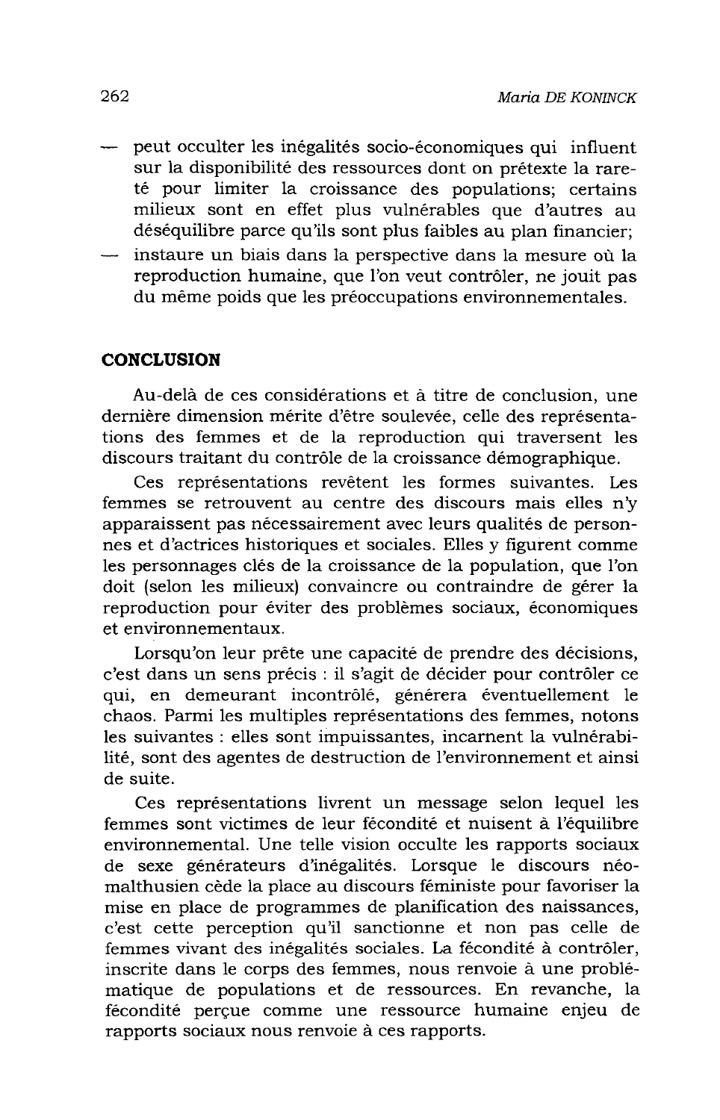- peut occulter les inégalités socio-économiques qui influent sur la disponibilité des ressources dont on prétexte la rareté pour limiter la croissance des populations; certains milieux sont en effet plus vulnérables que d'autres au déséquilibre parce qu'ils sont plus faibles au plan financier;
- instaure un biais dans la perspective dans la mesure où la reproduction humaine, que l'on veut contrôler, ne jouit pas du même poids que les préoccupations environnementales.

### **CONCLUSION**

Au-delà de ces considérations et à titre de conclusion, une dernière dimension mérite d'être soulevée, celle des représentations des femmes et de la reproduction qui traversent les discours traitant du contrôle de la croissance démographique.

Ces représentations revêtent les formes suivantes. Les femmes se retrouvent au centre des discours mais elles n'y apparaissent pas nécessairement avec leurs qualités de personnes et d'actrices historiques et sociales. Elles y figurent comme les personnages clés de la croissance de la population, que l'on doit (selon les milieux) convaincre ou contraindre de gérer la reproduction pour éviter des problèmes sociaux, économiques et environnementaux.

Lorsqu'on leur prête une capacité de prendre des décisions, c'est dans un sens précis : il s'agit de décider pour contrôler ce qui, en demeurant incontrôlé, générera éventuellement le chaos. Parmi les multiples représentations des femmes, notons les suivantes : elles sont impuissantes, incarnent la vulnérabilité, sont des agentes de destruction de l'environnement et ainsi de suite.

Ces représentations livrent un message selon lequel les femmes sont victimes de leur fécondité et nuisent à l'équilibre environnemental. Une telle vision occulte les rapports sociaux de sexe générateurs d'inégalités. Lorsque le discours néomalthusien cède la place au discours féministe pour favoriser la mise en place de programmes de planification des naissances, c'est cette perception qu'il sanctionne et non pas celle de femmes vivant des inégalités sociales. La fécondité à contrôler, inscrite dans le corps des femmes, nous renvoie à une problématique de populations et de ressources. En revanche, la fécondité percue comme une ressource humaine enjeu de rapports sociaux nous renvoie à ces rapports.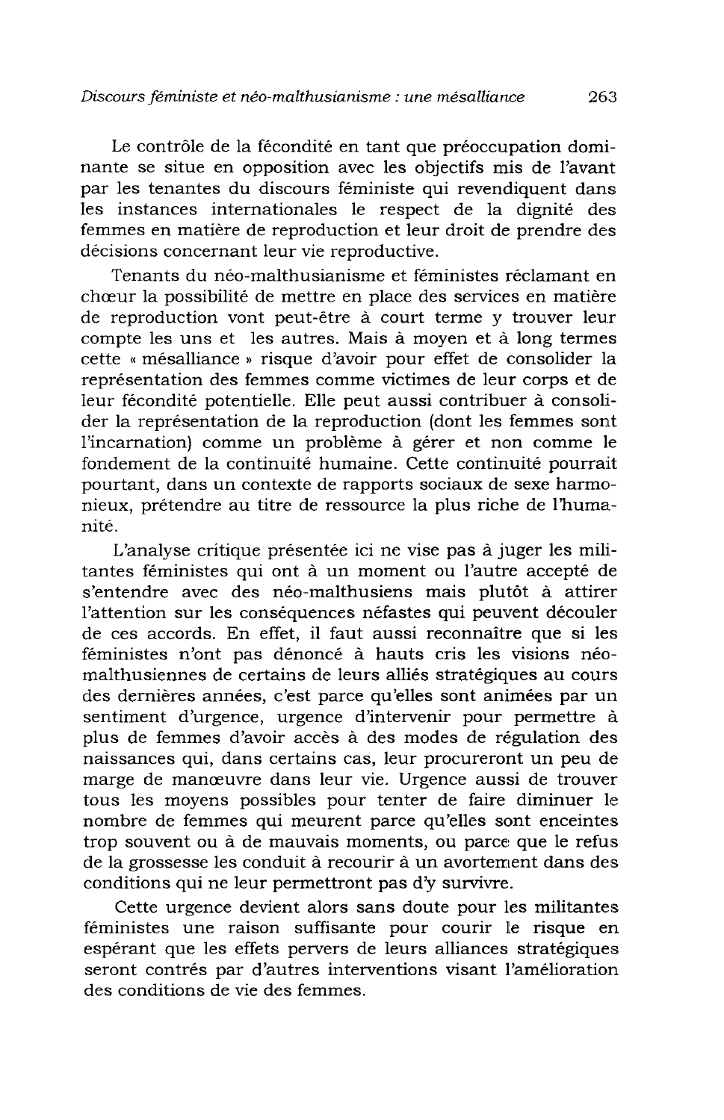Le contrôle de la fécondité en tant que préoccupation dominante se situe en opposition avec les objectifs mis de l'avant par les tenantes du discours féministe qui revendiquent dans les instances internationales le respect de la dignité des femmes en matière de reproduction et leur droit de prendre des décisions concernant leur vie reproductive.

Tenants du néo-malthusianisme et féministes réclamant en chœur la possibilité de mettre en place des services en matière de reproduction vont peut-être à court terme y trouver leur compte les uns et les autres. Mais à moyen et à long termes cette « mésalliance » risque d'avoir pour effet de consolider la représentation des femmes comme victimes de leur corps et de leur fécondité potentielle. Elle peut aussi contribuer à consolider la représentation de la reproduction (dont les femmes sont l'incarnation) comme un problème à gérer et non comme le fondement de la continuité humaine. Cette continuité pourrait pourtant, dans un contexte de rapports sociaux de sexe harmonieux, prétendre au titre de ressource la plus riche de l'humanité.

L'analyse critique présentée ici ne vise pas à juger les militantes féministes qui ont à un moment ou l'autre accepté de s'entendre avec des néo-malthusiens mais plutôt à attirer l'attention sur les conséquences néfastes qui peuvent découler de ces accords. En effet, il faut aussi reconnaître que si les féministes n'ont pas dénoncé à hauts cris les visions néomalthusiennes de certains de leurs alliés stratégiques au cours des dernières années, c'est parce qu'elles sont animées par un sentiment d'urgence, urgence d'intervenir pour permettre à plus de femmes d'avoir accès à des modes de régulation des naissances qui, dans certains cas, leur procureront un peu de marge de manœuvre dans leur vie. Urgence aussi de trouver tous les moyens possibles pour tenter de faire diminuer le nombre de femmes qui meurent parce qu'elles sont enceintes trop souvent ou à de mauvais moments, ou parce que le refus de la grossesse les conduit à recourir à un avortement dans des conditions qui ne leur permettront pas d'y survivre.

Cette urgence devient alors sans doute pour les militantes féministes une raison suffisante pour courir le risque en espérant que les effets pervers de leurs alliances stratégiques seront contrés par d'autres interventions visant l'amélioration des conditions de vie des femmes.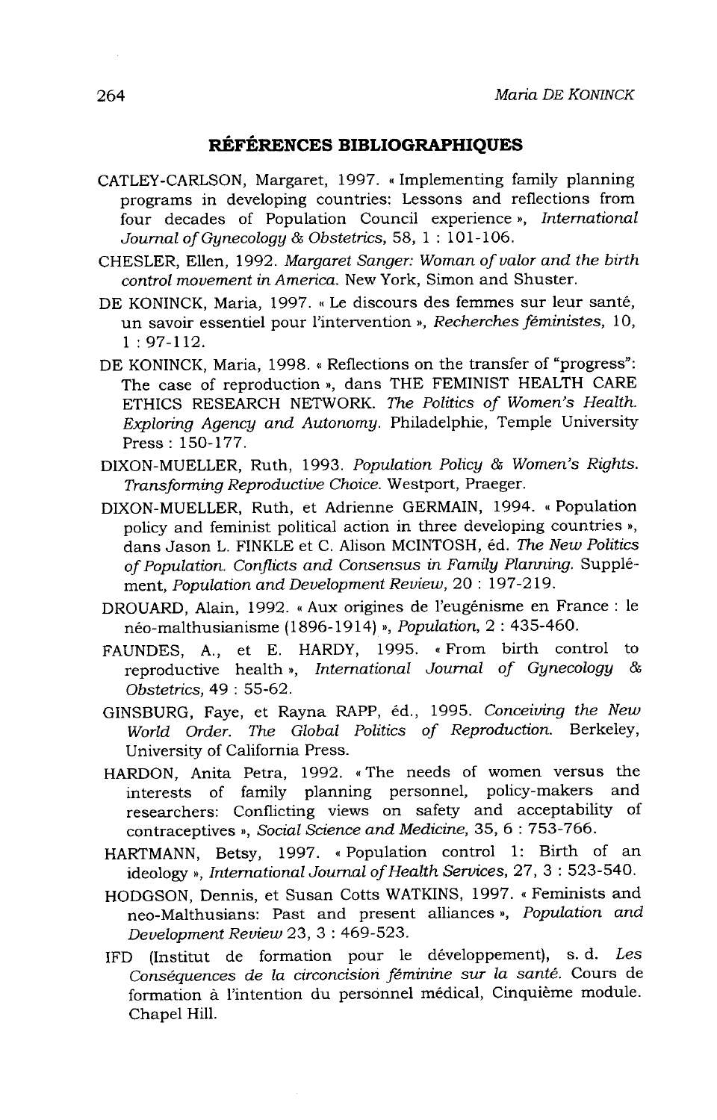### RÉFÉRENCES BIBLIOGRAPHIQUES

- CATLEY-CARLSON, Margaret, 1997. « Implementing family planning programs in developing countries: Lessons and reflections from four decades of Population Council experience », International Journal of Gynecology & Obstetrics, 58, 1:101-106.
- CHESLER, Ellen, 1992. Margaret Sanger: Woman of valor and the birth control movement in America. New York, Simon and Shuster.
- DE KONINCK, Maria, 1997. « Le discours des femmes sur leur santé, un savoir essentiel pour l'intervention », Recherches féministes, 10,  $1:97-112.$
- DE KONINCK, Maria, 1998. « Reflections on the transfer of "progress": The case of reproduction », dans THE FEMINIST HEALTH CARE ETHICS RESEARCH NETWORK. The Politics of Women's Health. Exploring Agency and Autonomy. Philadelphie, Temple University Press: 150-177.
- DIXON-MUELLER, Ruth, 1993. Population Policy & Women's Rights. Transforming Reproductive Choice. Westport, Praeger.
- DIXON-MUELLER, Ruth, et Adrienne GERMAIN, 1994. « Population policy and feminist political action in three developing countries », dans Jason L. FINKLE et C. Alison MCINTOSH, éd. The New Politics of Population. Conflicts and Consensus in Family Planning. Supplément, Population and Development Review, 20: 197-219.
- DROUARD, Alain, 1992. « Aux origines de l'eugénisme en France : le néo-malthusianisme (1896-1914) », Population, 2: 435-460.
- A., et E. HARDY, 1995. «From birth control to FAUNDES, reproductive health», International Journal of Gynecology & Obstetrics, 49: 55-62.
- GINSBURG, Faye, et Rayna RAPP, éd., 1995. Conceiving the New World Order. The Global Politics of Reproduction. Berkeley, University of California Press.
- HARDON, Anita Petra, 1992. «The needs of women versus the interests of family planning personnel, policy-makers and researchers: Conflicting views on safety and acceptability of contraceptives », Social Science and Medicine, 35, 6:753-766.
- HARTMANN, Betsy, 1997. «Population control 1: Birth of an ideology », International Journal of Health Services, 27, 3: 523-540.
- HODGSON, Dennis, et Susan Cotts WATKINS, 1997. « Feminists and neo-Malthusians: Past and present alliances », Population and Development Review 23, 3:469-523.
- IFD (Institut de formation pour le développement), s. d. Les Conséquences de la circoncision féminine sur la santé. Cours de formation à l'intention du personnel médical, Cinquième module. Chapel Hill.